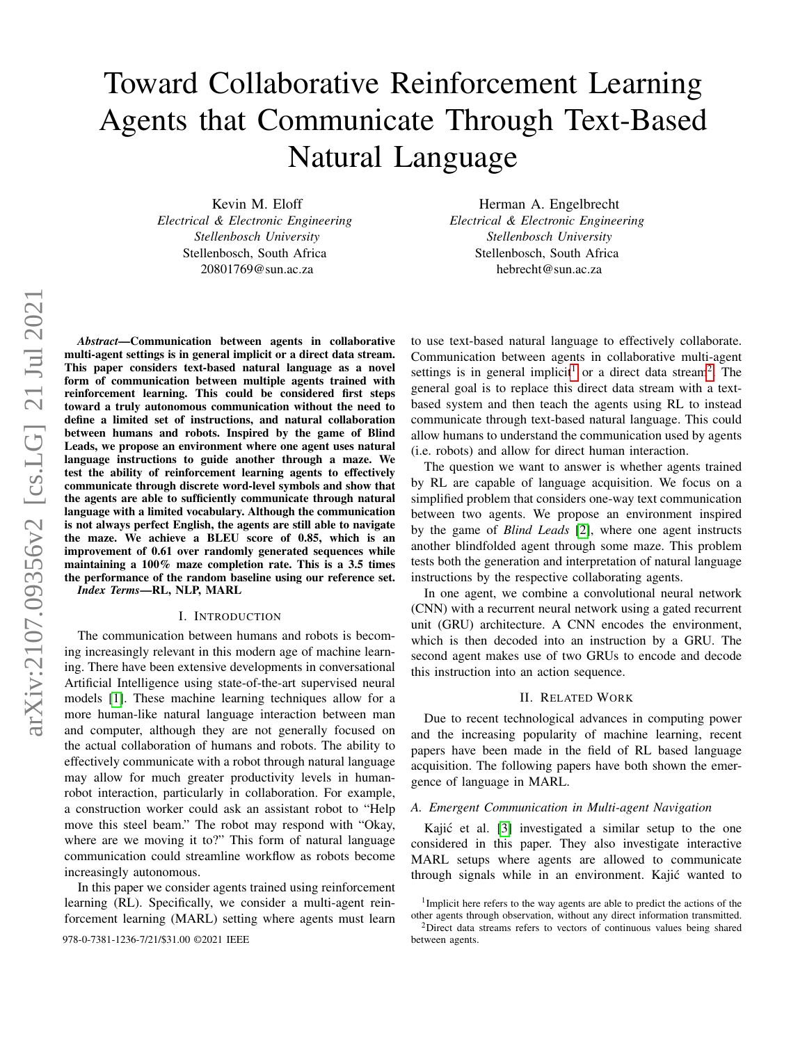# Toward Collaborative Reinforcement Learning Agents that Communicate Through Text-Based Natural Language

Kevin M. Eloff *Electrical & Electronic Engineering Stellenbosch University* Stellenbosch, South Africa 20801769@sun.ac.za

Herman A. Engelbrecht *Electrical & Electronic Engineering Stellenbosch University* Stellenbosch, South Africa hebrecht@sun.ac.za

*Abstract*—Communication between agents in collaborative multi-agent settings is in general implicit or a direct data stream. This paper considers text-based natural language as a novel form of communication between multiple agents trained with reinforcement learning. This could be considered first steps toward a truly autonomous communication without the need to define a limited set of instructions, and natural collaboration between humans and robots. Inspired by the game of Blind Leads, we propose an environment where one agent uses natural language instructions to guide another through a maze. We test the ability of reinforcement learning agents to effectively communicate through discrete word-level symbols and show that the agents are able to sufficiently communicate through natural language with a limited vocabulary. Although the communication is not always perfect English, the agents are still able to navigate the maze. We achieve a BLEU score of 0.85, which is an improvement of 0.61 over randomly generated sequences while maintaining a 100% maze completion rate. This is a 3.5 times the performance of the random baseline using our reference set. *Index Terms*—RL, NLP, MARL

#### I. INTRODUCTION

The communication between humans and robots is becoming increasingly relevant in this modern age of machine learning. There have been extensive developments in conversational Artificial Intelligence using state-of-the-art supervised neural models [\[1\]](#page-5-0). These machine learning techniques allow for a more human-like natural language interaction between man and computer, although they are not generally focused on the actual collaboration of humans and robots. The ability to effectively communicate with a robot through natural language may allow for much greater productivity levels in humanrobot interaction, particularly in collaboration. For example, a construction worker could ask an assistant robot to "Help move this steel beam." The robot may respond with "Okay, where are we moving it to?" This form of natural language communication could streamline workflow as robots become increasingly autonomous.

In this paper we consider agents trained using reinforcement learning (RL). Specifically, we consider a multi-agent reinforcement learning (MARL) setting where agents must learn

978-0-7381-1236-7/21/\$31.00 ©2021 IEEE between agents.

to use text-based natural language to effectively collaborate. Communication between agents in collaborative multi-agent settings is in general implicit<sup>[1](#page-0-0)</sup> or a direct data stream<sup>[2](#page-0-1)</sup>. The general goal is to replace this direct data stream with a textbased system and then teach the agents using RL to instead communicate through text-based natural language. This could allow humans to understand the communication used by agents (i.e. robots) and allow for direct human interaction.

The question we want to answer is whether agents trained by RL are capable of language acquisition. We focus on a simplified problem that considers one-way text communication between two agents. We propose an environment inspired by the game of *Blind Leads* [\[2\]](#page-5-1), where one agent instructs another blindfolded agent through some maze. This problem tests both the generation and interpretation of natural language instructions by the respective collaborating agents.

In one agent, we combine a convolutional neural network (CNN) with a recurrent neural network using a gated recurrent unit (GRU) architecture. A CNN encodes the environment, which is then decoded into an instruction by a GRU. The second agent makes use of two GRUs to encode and decode this instruction into an action sequence.

#### II. RELATED WORK

Due to recent technological advances in computing power and the increasing popularity of machine learning, recent papers have been made in the field of RL based language acquisition. The following papers have both shown the emergence of language in MARL.

## *A. Emergent Communication in Multi-agent Navigation*

Kajić et al.  $[3]$  investigated a similar setup to the one considered in this paper. They also investigate interactive MARL setups where agents are allowed to communicate through signals while in an environment. Kajic wanted to ´

<span id="page-0-0"></span><sup>&</sup>lt;sup>1</sup>Implicit here refers to the way agents are able to predict the actions of the other agents through observation, without any direct information transmitted.

<span id="page-0-1"></span><sup>&</sup>lt;sup>2</sup>Direct data streams refers to vectors of continuous values being shared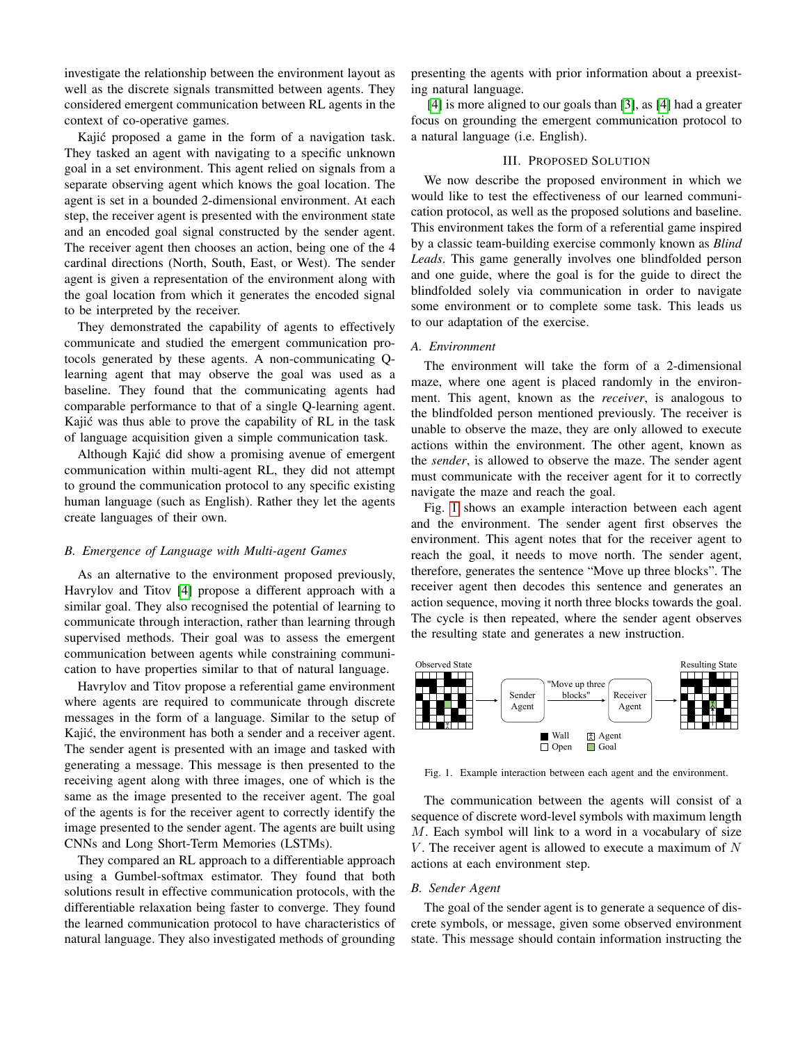investigate the relationship between the environment layout as well as the discrete signals transmitted between agents. They considered emergent communication between RL agents in the context of co-operative games.

Kajić proposed a game in the form of a navigation task. They tasked an agent with navigating to a specific unknown goal in a set environment. This agent relied on signals from a separate observing agent which knows the goal location. The agent is set in a bounded 2-dimensional environment. At each step, the receiver agent is presented with the environment state and an encoded goal signal constructed by the sender agent. The receiver agent then chooses an action, being one of the 4 cardinal directions (North, South, East, or West). The sender agent is given a representation of the environment along with the goal location from which it generates the encoded signal to be interpreted by the receiver.

They demonstrated the capability of agents to effectively communicate and studied the emergent communication protocols generated by these agents. A non-communicating Qlearning agent that may observe the goal was used as a baseline. They found that the communicating agents had comparable performance to that of a single Q-learning agent. Kajic was thus able to prove the capability of RL in the task ´ of language acquisition given a simple communication task.

Although Kajic did show a promising avenue of emergent ´ communication within multi-agent RL, they did not attempt to ground the communication protocol to any specific existing human language (such as English). Rather they let the agents create languages of their own.

## *B. Emergence of Language with Multi-agent Games*

As an alternative to the environment proposed previously, Havrylov and Titov [\[4\]](#page-5-3) propose a different approach with a similar goal. They also recognised the potential of learning to communicate through interaction, rather than learning through supervised methods. Their goal was to assess the emergent communication between agents while constraining communication to have properties similar to that of natural language.

Havrylov and Titov propose a referential game environment where agents are required to communicate through discrete messages in the form of a language. Similar to the setup of Kajić, the environment has both a sender and a receiver agent. The sender agent is presented with an image and tasked with generating a message. This message is then presented to the receiving agent along with three images, one of which is the same as the image presented to the receiver agent. The goal of the agents is for the receiver agent to correctly identify the image presented to the sender agent. The agents are built using CNNs and Long Short-Term Memories (LSTMs).

They compared an RL approach to a differentiable approach using a Gumbel-softmax estimator. They found that both solutions result in effective communication protocols, with the differentiable relaxation being faster to converge. They found the learned communication protocol to have characteristics of natural language. They also investigated methods of grounding

presenting the agents with prior information about a preexisting natural language.

[\[4\]](#page-5-3) is more aligned to our goals than [\[3\]](#page-5-2), as [4] had a greater focus on grounding the emergent communication protocol to a natural language (i.e. English).

# III. PROPOSED SOLUTION

We now describe the proposed environment in which we would like to test the effectiveness of our learned communication protocol, as well as the proposed solutions and baseline. This environment takes the form of a referential game inspired by a classic team-building exercise commonly known as *Blind Leads*. This game generally involves one blindfolded person and one guide, where the goal is for the guide to direct the blindfolded solely via communication in order to navigate some environment or to complete some task. This leads us to our adaptation of the exercise.

# *A. Environment*

The environment will take the form of a 2-dimensional maze, where one agent is placed randomly in the environment. This agent, known as the *receiver*, is analogous to the blindfolded person mentioned previously. The receiver is unable to observe the maze, they are only allowed to execute actions within the environment. The other agent, known as the *sender*, is allowed to observe the maze. The sender agent must communicate with the receiver agent for it to correctly navigate the maze and reach the goal.

Fig. [1](#page-1-0) shows an example interaction between each agent and the environment. The sender agent first observes the environment. This agent notes that for the receiver agent to reach the goal, it needs to move north. The sender agent, therefore, generates the sentence "Move up three blocks". The receiver agent then decodes this sentence and generates an action sequence, moving it north three blocks towards the goal. The cycle is then repeated, where the sender agent observes the resulting state and generates a new instruction.



<span id="page-1-0"></span>Fig. 1. Example interaction between each agent and the environment.

The communication between the agents will consist of a sequence of discrete word-level symbols with maximum length M. Each symbol will link to a word in a vocabulary of size  $V$ . The receiver agent is allowed to execute a maximum of  $N$ actions at each environment step.

## *B. Sender Agent*

The goal of the sender agent is to generate a sequence of discrete symbols, or message, given some observed environment state. This message should contain information instructing the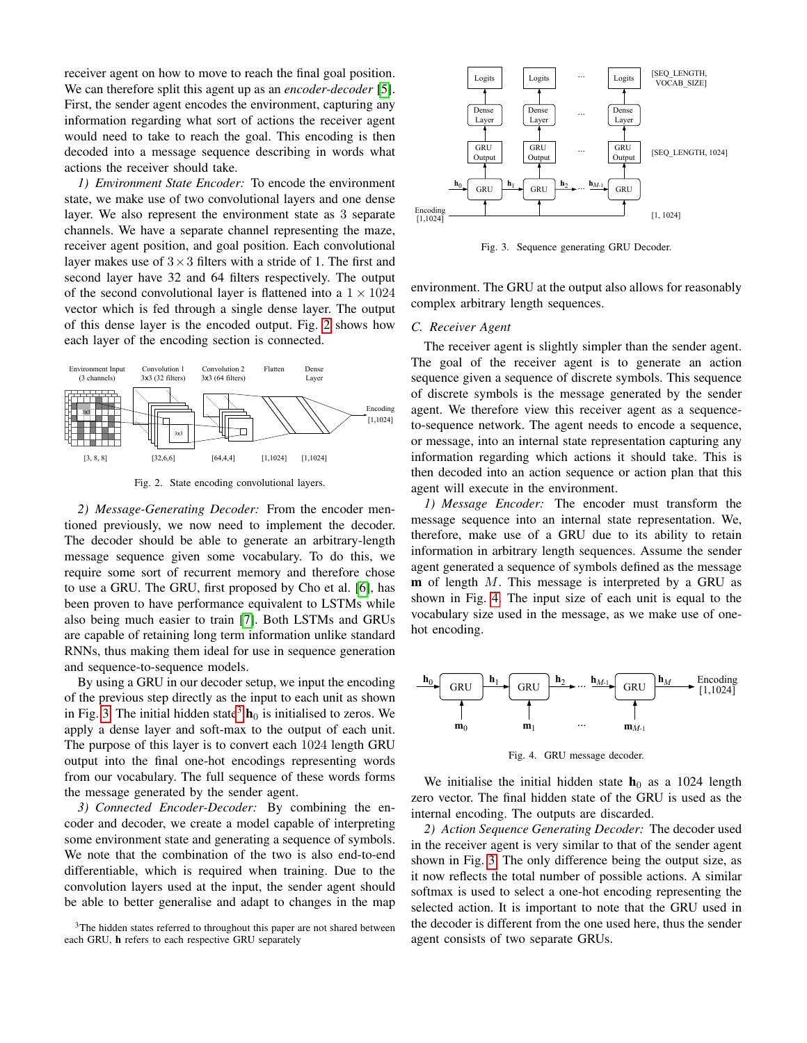receiver agent on how to move to reach the final goal position. We can therefore split this agent up as an *encoder-decoder* [\[5\]](#page-5-4). First, the sender agent encodes the environment, capturing any information regarding what sort of actions the receiver agent would need to take to reach the goal. This encoding is then decoded into a message sequence describing in words what actions the receiver should take.

*1) Environment State Encoder:* To encode the environment state, we make use of two convolutional layers and one dense layer. We also represent the environment state as 3 separate channels. We have a separate channel representing the maze, receiver agent position, and goal position. Each convolutional layer makes use of  $3 \times 3$  filters with a stride of 1. The first and second layer have 32 and 64 filters respectively. The output of the second convolutional layer is flattened into a  $1 \times 1024$ vector which is fed through a single dense layer. The output of this dense layer is the encoded output. Fig. [2](#page-2-0) shows how each layer of the encoding section is connected.



<span id="page-2-0"></span>Fig. 2. State encoding convolutional layers.

*2) Message-Generating Decoder:* From the encoder mentioned previously, we now need to implement the decoder. The decoder should be able to generate an arbitrary-length message sequence given some vocabulary. To do this, we require some sort of recurrent memory and therefore chose to use a GRU. The GRU, first proposed by Cho et al. [\[6\]](#page-5-5), has been proven to have performance equivalent to LSTMs while also being much easier to train [\[7\]](#page-5-6). Both LSTMs and GRUs are capable of retaining long term information unlike standard RNNs, thus making them ideal for use in sequence generation and sequence-to-sequence models.

By using a GRU in our decoder setup, we input the encoding of the previous step directly as the input to each unit as shown in Fig. [3.](#page-2-1) The initial hidden state<sup>[3](#page-2-2)</sup>  $h_0$  is initialised to zeros. We apply a dense layer and soft-max to the output of each unit. The purpose of this layer is to convert each 1024 length GRU output into the final one-hot encodings representing words from our vocabulary. The full sequence of these words forms the message generated by the sender agent.

*3) Connected Encoder-Decoder:* By combining the encoder and decoder, we create a model capable of interpreting some environment state and generating a sequence of symbols. We note that the combination of the two is also end-to-end differentiable, which is required when training. Due to the convolution layers used at the input, the sender agent should be able to better generalise and adapt to changes in the map



<span id="page-2-1"></span>Fig. 3. Sequence generating GRU Decoder.

environment. The GRU at the output also allows for reasonably complex arbitrary length sequences.

## *C. Receiver Agent*

The receiver agent is slightly simpler than the sender agent. The goal of the receiver agent is to generate an action sequence given a sequence of discrete symbols. This sequence of discrete symbols is the message generated by the sender agent. We therefore view this receiver agent as a sequenceto-sequence network. The agent needs to encode a sequence, or message, into an internal state representation capturing any information regarding which actions it should take. This is then decoded into an action sequence or action plan that this agent will execute in the environment.

*1) Message Encoder:* The encoder must transform the message sequence into an internal state representation. We, therefore, make use of a GRU due to its ability to retain information in arbitrary length sequences. Assume the sender agent generated a sequence of symbols defined as the message  $m$  of length  $M$ . This message is interpreted by a GRU as shown in Fig. [4.](#page-2-3) The input size of each unit is equal to the vocabulary size used in the message, as we make use of onehot encoding.



<span id="page-2-3"></span>Fig. 4. GRU message decoder.

We initialise the initial hidden state  $h_0$  as a 1024 length zero vector. The final hidden state of the GRU is used as the internal encoding. The outputs are discarded.

*2) Action Sequence Generating Decoder:* The decoder used in the receiver agent is very similar to that of the sender agent shown in Fig. [3.](#page-2-1) The only difference being the output size, as it now reflects the total number of possible actions. A similar softmax is used to select a one-hot encoding representing the selected action. It is important to note that the GRU used in the decoder is different from the one used here, thus the sender agent consists of two separate GRUs.

<span id="page-2-2"></span> $3$ The hidden states referred to throughout this paper are not shared between each GRU, h refers to each respective GRU separately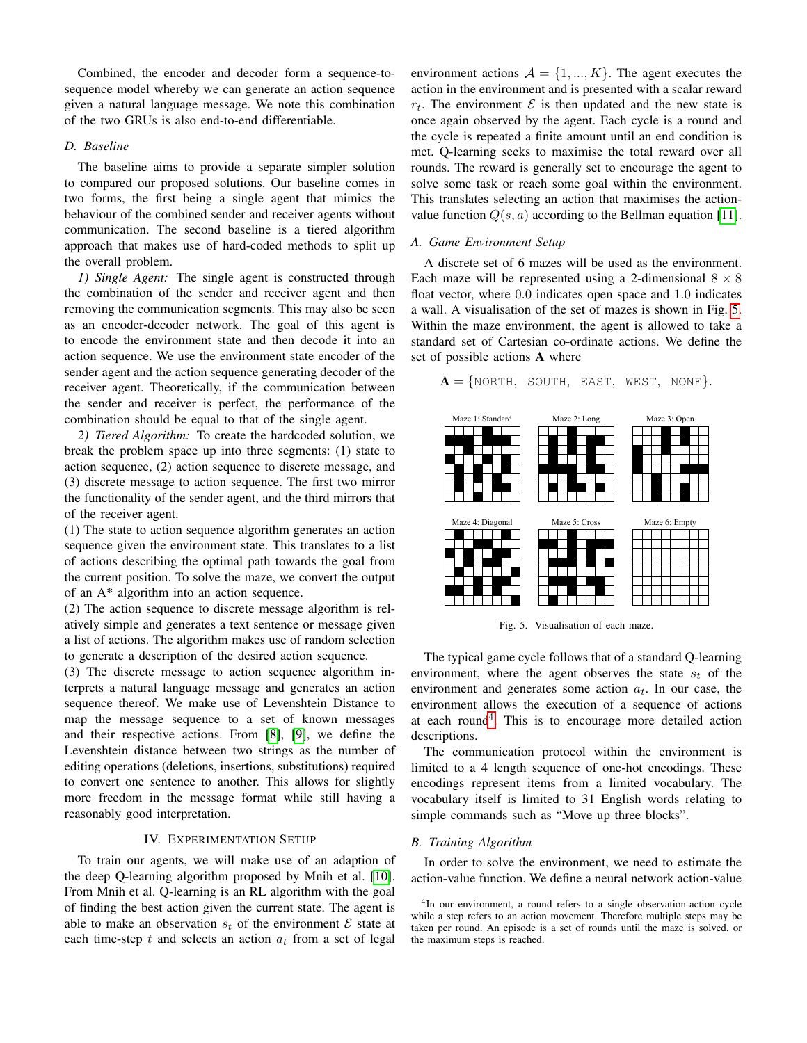Combined, the encoder and decoder form a sequence-tosequence model whereby we can generate an action sequence given a natural language message. We note this combination of the two GRUs is also end-to-end differentiable.

## *D. Baseline*

The baseline aims to provide a separate simpler solution to compared our proposed solutions. Our baseline comes in two forms, the first being a single agent that mimics the behaviour of the combined sender and receiver agents without communication. The second baseline is a tiered algorithm approach that makes use of hard-coded methods to split up the overall problem.

*1) Single Agent:* The single agent is constructed through the combination of the sender and receiver agent and then removing the communication segments. This may also be seen as an encoder-decoder network. The goal of this agent is to encode the environment state and then decode it into an action sequence. We use the environment state encoder of the sender agent and the action sequence generating decoder of the receiver agent. Theoretically, if the communication between the sender and receiver is perfect, the performance of the combination should be equal to that of the single agent.

*2) Tiered Algorithm:* To create the hardcoded solution, we break the problem space up into three segments: (1) state to action sequence, (2) action sequence to discrete message, and (3) discrete message to action sequence. The first two mirror the functionality of the sender agent, and the third mirrors that of the receiver agent.

(1) The state to action sequence algorithm generates an action sequence given the environment state. This translates to a list of actions describing the optimal path towards the goal from the current position. To solve the maze, we convert the output of an A\* algorithm into an action sequence.

(2) The action sequence to discrete message algorithm is relatively simple and generates a text sentence or message given a list of actions. The algorithm makes use of random selection to generate a description of the desired action sequence.

(3) The discrete message to action sequence algorithm interprets a natural language message and generates an action sequence thereof. We make use of Levenshtein Distance to map the message sequence to a set of known messages and their respective actions. From [\[8\]](#page-5-7), [\[9\]](#page-5-8), we define the Levenshtein distance between two strings as the number of editing operations (deletions, insertions, substitutions) required to convert one sentence to another. This allows for slightly more freedom in the message format while still having a reasonably good interpretation.

# IV. EXPERIMENTATION SETUP

To train our agents, we will make use of an adaption of the deep Q-learning algorithm proposed by Mnih et al. [\[10\]](#page-5-9). From Mnih et al. Q-learning is an RL algorithm with the goal of finding the best action given the current state. The agent is able to make an observation  $s_t$  of the environment  $\mathcal E$  state at each time-step  $t$  and selects an action  $a_t$  from a set of legal

environment actions  $A = \{1, ..., K\}$ . The agent executes the action in the environment and is presented with a scalar reward  $r_t$ . The environment  $\mathcal E$  is then updated and the new state is once again observed by the agent. Each cycle is a round and the cycle is repeated a finite amount until an end condition is met. Q-learning seeks to maximise the total reward over all rounds. The reward is generally set to encourage the agent to solve some task or reach some goal within the environment. This translates selecting an action that maximises the actionvalue function  $Q(s, a)$  according to the Bellman equation [\[11\]](#page-5-10).

#### *A. Game Environment Setup*

A discrete set of 6 mazes will be used as the environment. Each maze will be represented using a 2-dimensional  $8 \times 8$ float vector, where 0.0 indicates open space and 1.0 indicates a wall. A visualisation of the set of mazes is shown in Fig. [5.](#page-3-0) Within the maze environment, the agent is allowed to take a standard set of Cartesian co-ordinate actions. We define the set of possible actions A where

 $A = \{NORTH, SOUTH, EAST, WEST, NONE\}.$ 



<span id="page-3-0"></span>Fig. 5. Visualisation of each maze.

The typical game cycle follows that of a standard Q-learning environment, where the agent observes the state  $s_t$  of the environment and generates some action  $a_t$ . In our case, the environment allows the execution of a sequence of actions at each round<sup>[4](#page-3-1)</sup>. This is to encourage more detailed action descriptions.

The communication protocol within the environment is limited to a 4 length sequence of one-hot encodings. These encodings represent items from a limited vocabulary. The vocabulary itself is limited to 31 English words relating to simple commands such as "Move up three blocks".

## *B. Training Algorithm*

In order to solve the environment, we need to estimate the action-value function. We define a neural network action-value

<span id="page-3-1"></span><sup>&</sup>lt;sup>4</sup>In our environment, a round refers to a single observation-action cycle while a step refers to an action movement. Therefore multiple steps may be taken per round. An episode is a set of rounds until the maze is solved, or the maximum steps is reached.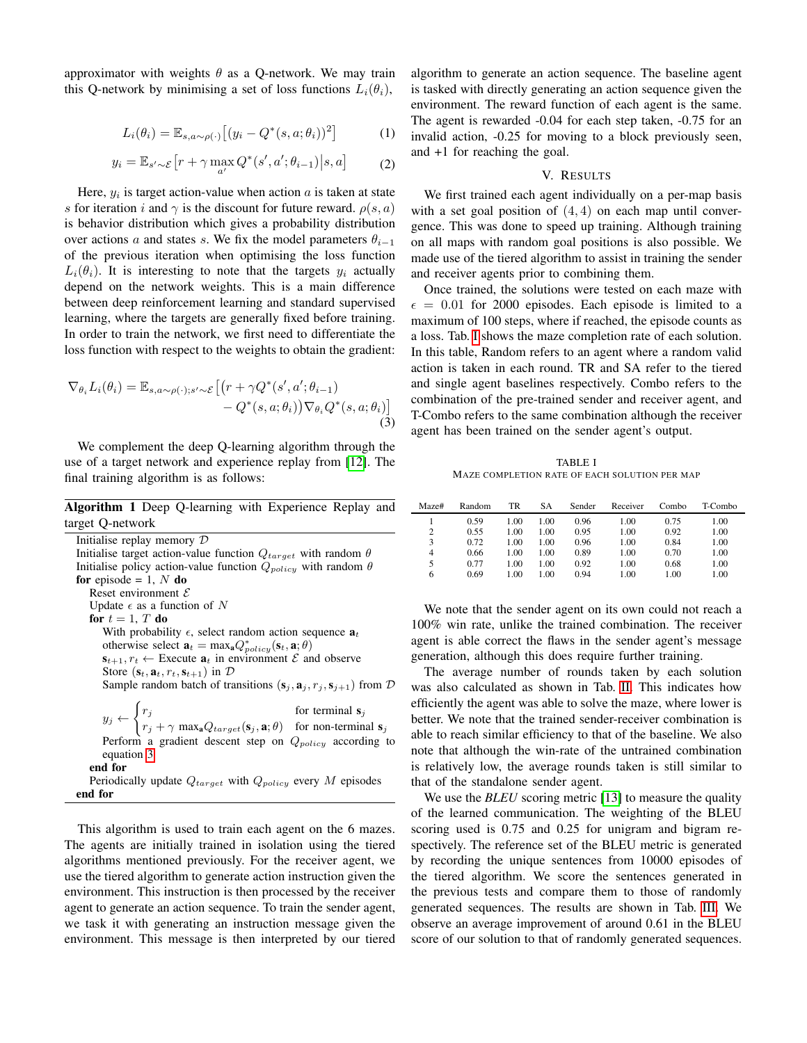approximator with weights  $\theta$  as a Q-network. We may train this Q-network by minimising a set of loss functions  $L_i(\theta_i)$ ,

$$
L_i(\theta_i) = \mathbb{E}_{s,a \sim \rho(\cdot)} \left[ (y_i - Q^*(s, a; \theta_i))^2 \right] \tag{1}
$$

$$
y_i = \mathbb{E}_{s' \sim \mathcal{E}} \left[ r + \gamma \max_{a'} Q^*(s', a'; \theta_{i-1}) \middle| s, a \right]
$$
 (2)

Here,  $y_i$  is target action-value when action  $a$  is taken at state s for iteration i and  $\gamma$  is the discount for future reward.  $\rho(s, a)$ is behavior distribution which gives a probability distribution over actions a and states s. We fix the model parameters  $\theta_{i-1}$ of the previous iteration when optimising the loss function  $L_i(\theta_i)$ . It is interesting to note that the targets  $y_i$  actually depend on the network weights. This is a main difference between deep reinforcement learning and standard supervised learning, where the targets are generally fixed before training. In order to train the network, we first need to differentiate the loss function with respect to the weights to obtain the gradient:

<span id="page-4-0"></span>
$$
\nabla_{\theta_i} L_i(\theta_i) = \mathbb{E}_{s, a \sim \rho(\cdot); s' \sim \mathcal{E}} \left[ \left( r + \gamma Q^*(s', a'; \theta_{i-1}) - Q^*(s, a; \theta_i) \right) \nabla_{\theta_i} Q^*(s, a; \theta_i) \right]
$$
\n
$$
- Q^*(s, a; \theta_i) \nabla_{\theta_i} Q^*(s, a; \theta_i) \tag{3}
$$

We complement the deep Q-learning algorithm through the use of a target network and experience replay from [\[12\]](#page-5-11). The final training algorithm is as follows:

Algorithm 1 Deep Q-learning with Experience Replay and target Q-network

| Initialise replay memory $D$                                                                                                                                                                                                        |  |  |  |  |
|-------------------------------------------------------------------------------------------------------------------------------------------------------------------------------------------------------------------------------------|--|--|--|--|
| Initialise target action-value function $Q_{target}$ with random $\theta$                                                                                                                                                           |  |  |  |  |
| Initialise policy action-value function $Q_{policy}$ with random $\theta$                                                                                                                                                           |  |  |  |  |
| for episode = 1, $N$ do                                                                                                                                                                                                             |  |  |  |  |
| Reset environment $\mathcal E$                                                                                                                                                                                                      |  |  |  |  |
| Update $\epsilon$ as a function of N                                                                                                                                                                                                |  |  |  |  |
| for $t=1$ , T do                                                                                                                                                                                                                    |  |  |  |  |
| With probability $\epsilon$ , select random action sequence $a_t$                                                                                                                                                                   |  |  |  |  |
| otherwise select $\mathbf{a}_t = \max_{\mathbf{a}} Q_{policy}^*(\mathbf{s}_t, \mathbf{a}; \theta)$                                                                                                                                  |  |  |  |  |
| $\mathbf{s}_{t+1}, r_t \leftarrow$ Execute $\mathbf{a}_t$ in environment $\mathcal{E}$ and observe                                                                                                                                  |  |  |  |  |
| Store $(\mathbf{s}_t, \mathbf{a}_t, r_t, \mathbf{s}_{t+1})$ in $\mathcal{D}$                                                                                                                                                        |  |  |  |  |
| Sample random batch of transitions $(\mathbf{s}_j, \mathbf{a}_j, r_j, \mathbf{s}_{j+1})$ from $D$                                                                                                                                   |  |  |  |  |
|                                                                                                                                                                                                                                     |  |  |  |  |
|                                                                                                                                                                                                                                     |  |  |  |  |
| $y_j \leftarrow \begin{cases} r_j & \text{for terminal } s_j \\ r_j + \gamma \max_a Q_{target}(s_j, \mathbf{a}; \theta) & \text{for non-terminal } s_j \end{cases}$<br>Perform a gradient descent step on $Q_{policy}$ according to |  |  |  |  |
|                                                                                                                                                                                                                                     |  |  |  |  |
| equation 3                                                                                                                                                                                                                          |  |  |  |  |
| end for                                                                                                                                                                                                                             |  |  |  |  |
| Periodically update $Q_{target}$ with $Q_{policy}$ every M episodes                                                                                                                                                                 |  |  |  |  |
| end for                                                                                                                                                                                                                             |  |  |  |  |

This algorithm is used to train each agent on the 6 mazes. The agents are initially trained in isolation using the tiered algorithms mentioned previously. For the receiver agent, we use the tiered algorithm to generate action instruction given the environment. This instruction is then processed by the receiver agent to generate an action sequence. To train the sender agent, we task it with generating an instruction message given the environment. This message is then interpreted by our tiered algorithm to generate an action sequence. The baseline agent is tasked with directly generating an action sequence given the environment. The reward function of each agent is the same. The agent is rewarded -0.04 for each step taken, -0.75 for an invalid action, -0.25 for moving to a block previously seen, and +1 for reaching the goal.

# V. RESULTS

We first trained each agent individually on a per-map basis with a set goal position of  $(4, 4)$  on each map until convergence. This was done to speed up training. Although training on all maps with random goal positions is also possible. We made use of the tiered algorithm to assist in training the sender and receiver agents prior to combining them.

Once trained, the solutions were tested on each maze with  $\epsilon$  = 0.01 for 2000 episodes. Each episode is limited to a maximum of 100 steps, where if reached, the episode counts as a loss. Tab. [I](#page-4-1) shows the maze completion rate of each solution. In this table, Random refers to an agent where a random valid action is taken in each round. TR and SA refer to the tiered and single agent baselines respectively. Combo refers to the combination of the pre-trained sender and receiver agent, and T-Combo refers to the same combination although the receiver agent has been trained on the sender agent's output.

TABLE I MAZE COMPLETION RATE OF EACH SOLUTION PER MAP

<span id="page-4-1"></span>

| Maze#          | Random | TR   | SА   | Sender | Receiver | Combo | T-Combo |
|----------------|--------|------|------|--------|----------|-------|---------|
|                | 0.59   | 1.00 | 1.00 | 0.96   | 1.00     | 0.75  | 1.00    |
| $\overline{c}$ | 0.55   | 1.00 | 1.00 | 0.95   | 1.00     | 0.92  | 1.00    |
| 3              | 0.72   | 1.00 | 1.00 | 0.96   | 1.00     | 0.84  | 1.00    |
| 4              | 0.66   | 1.00 | 1.00 | 0.89   | 1.00     | 0.70  | 1.00    |
| 5              | 0.77   | 1.00 | 1.00 | 0.92   | 1.00     | 0.68  | 1.00    |
| 6              | 0.69   | 1.00 | 1.00 | 0.94   | 1.00     | 1.00  | 1.00    |

We note that the sender agent on its own could not reach a 100% win rate, unlike the trained combination. The receiver agent is able correct the flaws in the sender agent's message generation, although this does require further training.

The average number of rounds taken by each solution was also calculated as shown in Tab. [II.](#page-5-12) This indicates how efficiently the agent was able to solve the maze, where lower is better. We note that the trained sender-receiver combination is able to reach similar efficiency to that of the baseline. We also note that although the win-rate of the untrained combination is relatively low, the average rounds taken is still similar to that of the standalone sender agent.

We use the *BLEU* scoring metric [\[13\]](#page-5-13) to measure the quality of the learned communication. The weighting of the BLEU scoring used is 0.75 and 0.25 for unigram and bigram respectively. The reference set of the BLEU metric is generated by recording the unique sentences from 10000 episodes of the tiered algorithm. We score the sentences generated in the previous tests and compare them to those of randomly generated sequences. The results are shown in Tab. [III.](#page-5-14) We observe an average improvement of around 0.61 in the BLEU score of our solution to that of randomly generated sequences.